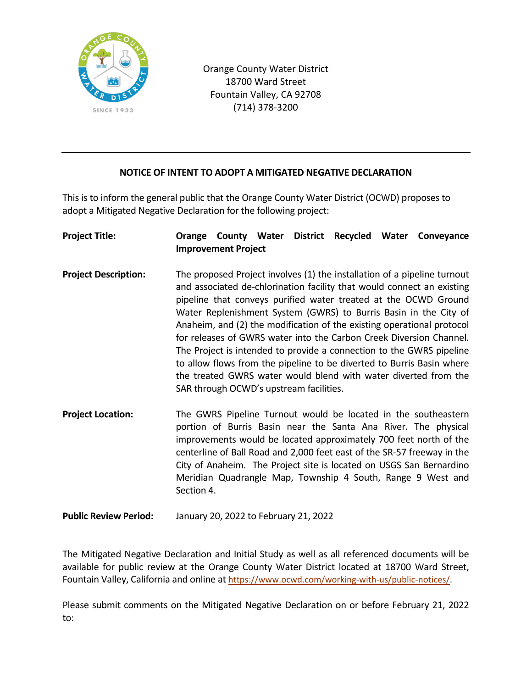

Orange County Water District 18700 Ward Street Fountain Valley, CA 92708 (714) 378-3200

## **NOTICE OF INTENT TO ADOPT A MITIGATED NEGATIVE DECLARATION**

This is to inform the general public that the Orange County Water District (OCWD) proposes to adopt a Mitigated Negative Declaration for the following project:

| <b>Project Title:</b>       | Orange                                                                                                                                                                                                                                                                                                                                                                                                                                                                                                                                                                                                                                                                                                    | <b>Improvement Project</b> |  | <b>County Water District</b> |  |  | Recycled Water Conveyance                                                                                                                                                                                                                                                                                                                                                                                              |
|-----------------------------|-----------------------------------------------------------------------------------------------------------------------------------------------------------------------------------------------------------------------------------------------------------------------------------------------------------------------------------------------------------------------------------------------------------------------------------------------------------------------------------------------------------------------------------------------------------------------------------------------------------------------------------------------------------------------------------------------------------|----------------------------|--|------------------------------|--|--|------------------------------------------------------------------------------------------------------------------------------------------------------------------------------------------------------------------------------------------------------------------------------------------------------------------------------------------------------------------------------------------------------------------------|
| <b>Project Description:</b> | The proposed Project involves (1) the installation of a pipeline turnout<br>and associated de-chlorination facility that would connect an existing<br>pipeline that conveys purified water treated at the OCWD Ground<br>Water Replenishment System (GWRS) to Burris Basin in the City of<br>Anaheim, and (2) the modification of the existing operational protocol<br>for releases of GWRS water into the Carbon Creek Diversion Channel.<br>The Project is intended to provide a connection to the GWRS pipeline<br>to allow flows from the pipeline to be diverted to Burris Basin where<br>the treated GWRS water would blend with water diverted from the<br>SAR through OCWD's upstream facilities. |                            |  |                              |  |  |                                                                                                                                                                                                                                                                                                                                                                                                                        |
| <b>Project Location:</b>    | Section 4.                                                                                                                                                                                                                                                                                                                                                                                                                                                                                                                                                                                                                                                                                                |                            |  |                              |  |  | The GWRS Pipeline Turnout would be located in the southeastern<br>portion of Burris Basin near the Santa Ana River. The physical<br>improvements would be located approximately 700 feet north of the<br>centerline of Ball Road and 2,000 feet east of the SR-57 freeway in the<br>City of Anaheim. The Project site is located on USGS San Bernardino<br>Meridian Quadrangle Map, Township 4 South, Range 9 West and |

**Public Review Period:** January 20, 2022 to February 21, 2022

The Mitigated Negative Declaration and Initial Study as well as all referenced documents will be available for public review at the Orange County Water District located at 18700 Ward Street, Fountain Valley, California and online at [https://www.ocwd.com/working-with-us/public-notices/.](https://www.ocwd.com/working-with-us/public-notices/)

Please submit comments on the Mitigated Negative Declaration on or before February 21, 2022 to: